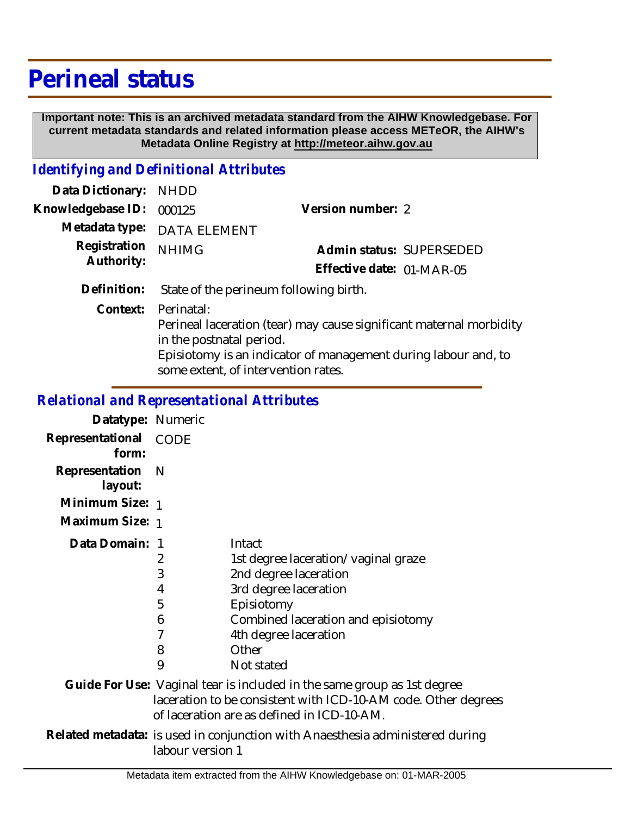## **Perineal status**

 **Important note: This is an archived metadata standard from the AIHW Knowledgebase. For current metadata standards and related information please access METeOR, the AIHW's Metadata Online Registry at http://meteor.aihw.gov.au**

## *Identifying and Definitional Attributes*

| Data Dictionary: NHDD    |                                                                                        |                           |                          |
|--------------------------|----------------------------------------------------------------------------------------|---------------------------|--------------------------|
| Knowledgebase ID: 000125 |                                                                                        | Version number: 2         |                          |
|                          | Metadata type: DATA ELEMENT                                                            |                           |                          |
| Registration             | <b>NHIMG</b>                                                                           |                           | Admin status: SUPERSEDED |
| Authority:               |                                                                                        | Effective date: 01-MAR-05 |                          |
| Definition:              | State of the perineum following birth.                                                 |                           |                          |
|                          | Context: Perinatal:<br>Deripsel lessestion (tear) move seuse significant maternal more |                           |                          |

Perineal laceration (tear) may cause significant maternal morbidity in the postnatal period. Episiotomy is an indicator of management during labour and, to

some extent, of intervention rates.

## *Relational and Representational Attributes*

| Datatype: Numeric              |                                                                                                   |                                                                                                                                                                                                     |  |
|--------------------------------|---------------------------------------------------------------------------------------------------|-----------------------------------------------------------------------------------------------------------------------------------------------------------------------------------------------------|--|
| Representational CODE<br>form: |                                                                                                   |                                                                                                                                                                                                     |  |
| Representation N<br>layout:    |                                                                                                   |                                                                                                                                                                                                     |  |
| Minimum Size: 1                |                                                                                                   |                                                                                                                                                                                                     |  |
| Maximum Size: 1                |                                                                                                   |                                                                                                                                                                                                     |  |
| Data Domain: 1                 | 2<br>3<br>4<br>5<br>6<br>7<br>8<br>9                                                              | Intact<br>1st degree laceration/vaginal graze<br>2nd degree laceration<br>3rd degree laceration<br>Episiotomy<br>Combined laceration and episiotomy<br>4th degree laceration<br>Other<br>Not stated |  |
|                                |                                                                                                   | Guide For Use: Vaginal tear is included in the same group as 1st degree<br>laceration to be consistent with ICD-10-AM code. Other degrees<br>of laceration are as defined in ICD-10-AM.             |  |
|                                | Related metadata: is used in conjunction with Anaesthesia administered during<br>labour version 1 |                                                                                                                                                                                                     |  |